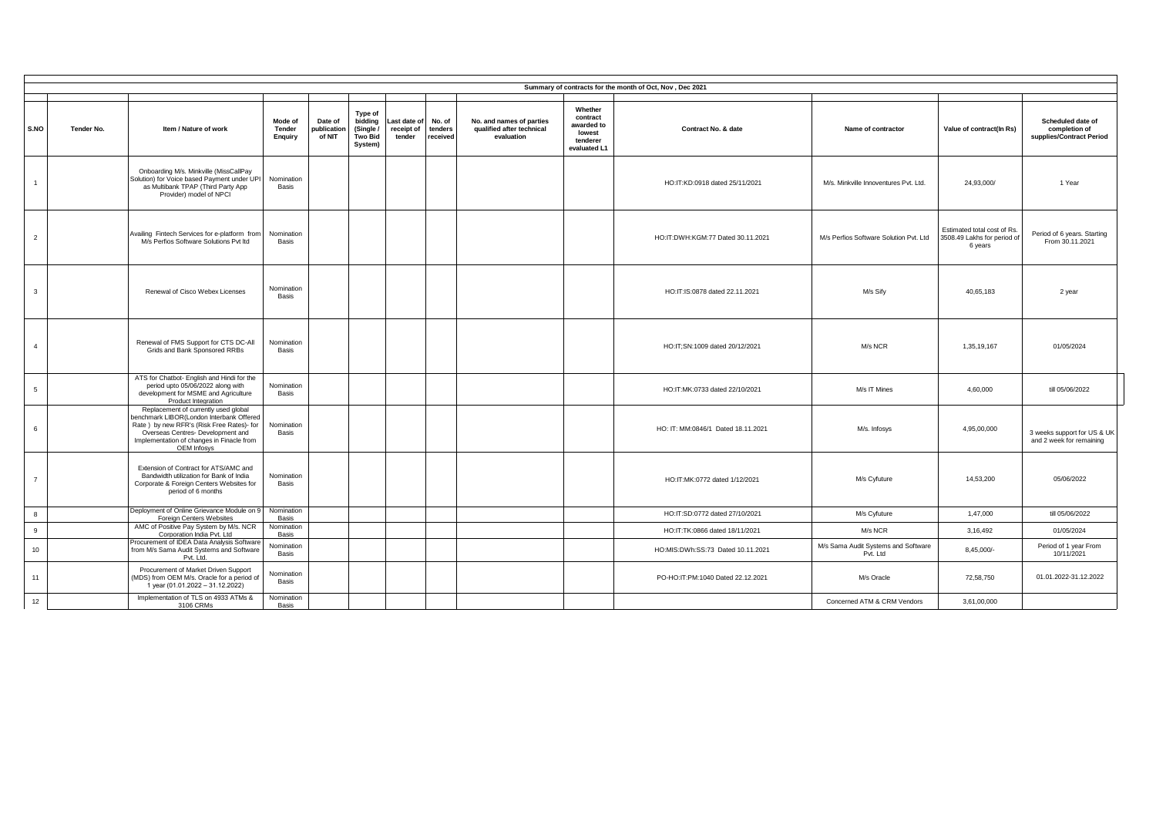| Summary of contracts for the month of Oct. Nov. Dec 2021 |            |                                                                                                                                                                                                                                |                              |                                  |                                                      |                                      |                               |                                                                     |                                                                                                |                                                 |                                                                       |                                                                |
|----------------------------------------------------------|------------|--------------------------------------------------------------------------------------------------------------------------------------------------------------------------------------------------------------------------------|------------------------------|----------------------------------|------------------------------------------------------|--------------------------------------|-------------------------------|---------------------------------------------------------------------|------------------------------------------------------------------------------------------------|-------------------------------------------------|-----------------------------------------------------------------------|----------------------------------------------------------------|
|                                                          |            |                                                                                                                                                                                                                                |                              |                                  |                                                      |                                      |                               |                                                                     |                                                                                                |                                                 |                                                                       |                                                                |
| S.NO                                                     | Tender No. | Item / Nature of work                                                                                                                                                                                                          | Mode of<br>Tender<br>Enguiry | Date of<br>publication<br>of NIT | Type of<br>bidding<br>(Single)<br>Two Bid<br>System) | Last date of<br>receipt of<br>tender | No. of<br>tenders<br>received | No. and names of parties<br>qualified after technical<br>evaluation | Whether<br>contract<br>awarded to<br>Contract No. & date<br>lowest<br>tenderer<br>evaluated L1 | Name of contractor                              | Value of contract(In Rs)                                              | Scheduled date of<br>completion of<br>supplies/Contract Period |
| $\overline{1}$                                           |            | Onboarding M/s. Minkville (MissCallPay<br>Solution) for Voice based Payment under UPI<br>as Multibank TPAP (Third Party App<br>Provider) model of NPCI                                                                         | Nomination<br>Basis          |                                  |                                                      |                                      |                               |                                                                     | HO:IT:KD:0918 dated 25/11/2021                                                                 | M/s. Minkville Innoventures Pvt. Ltd.           | 24,93,000/                                                            | 1 Year                                                         |
| $\overline{2}$                                           |            | Availing Fintech Services for e-platform from<br>M/s Perfios Software Solutions Pvt Itd                                                                                                                                        | Nomination<br>Basis          |                                  |                                                      |                                      |                               |                                                                     | HO:IT:DWH:KGM:77 Dated 30.11.2021                                                              | M/s Perfios Software Solution Pvt. Ltd          | Estimated total cost of Rs.<br>3508.49 Lakhs for period of<br>6 years | Period of 6 years. Starting<br>From 30.11.2021                 |
| $\mathbf{3}$                                             |            | Renewal of Cisco Webex Licenses                                                                                                                                                                                                | Nomination<br>Basis          |                                  |                                                      |                                      |                               |                                                                     | HO:IT:IS:0878 dated 22.11.2021                                                                 | M/s Sify                                        | 40,65,183                                                             | 2 year                                                         |
| $\overline{4}$                                           |            | Renewal of FMS Support for CTS DC-All<br>Grids and Bank Sponsored RRBs                                                                                                                                                         | Nomination<br>Basis          |                                  |                                                      |                                      |                               |                                                                     | HO:IT;SN:1009 dated 20/12/2021                                                                 | M/s NCR                                         | 1,35,19,167                                                           | 01/05/2024                                                     |
| 5                                                        |            | ATS for Chatbot- English and Hindi for the<br>period upto 05/06/2022 along with<br>development for MSME and Agriculture<br>Product Integration                                                                                 | Nomination<br>Basis          |                                  |                                                      |                                      |                               |                                                                     | HO:IT:MK:0733 dated 22/10/2021                                                                 | M/s IT Mines                                    | 4,60,000                                                              | till 05/06/2022                                                |
| 6                                                        |            | Replacement of currently used global<br>benchmark LIBOR(London Interbank Offered<br>Rate) by new RFR's (Risk Free Rates)- for<br>Overseas Centres- Development and<br>Implementation of changes in Finacle from<br>OEM Infosys | Nomination<br>Basis          |                                  |                                                      |                                      |                               |                                                                     | HO: IT: MM:0846/1 Dated 18.11.2021                                                             | M/s. Infosys                                    | 4,95,00,000                                                           | 3 weeks support for US & UK<br>and 2 week for remaining        |
| $\overline{7}$                                           |            | Extension of Contract for ATS/AMC and<br>Bandwidth utilization for Bank of India<br>Corporate & Foreign Centers Websites for<br>period of 6 months                                                                             | Nomination<br>Basis          |                                  |                                                      |                                      |                               |                                                                     | HO:IT:MK:0772 dated 1/12/2021                                                                  | M/s Cyfuture                                    | 14,53,200                                                             | 05/06/2022                                                     |
| 8                                                        |            | Deployment of Online Grievance Module on 9<br>Foreign Centers Websites                                                                                                                                                         | Nomination<br>Basis          |                                  |                                                      |                                      |                               |                                                                     | HO:IT:SD:0772 dated 27/10/2021                                                                 | M/s Cyfuture                                    | 1,47,000                                                              | till 05/06/2022                                                |
| 9                                                        |            | AMC of Positive Pay System by M/s. NCR<br>Corporation India Pvt. Ltd.                                                                                                                                                          | Nomination<br>Basis          |                                  |                                                      |                                      |                               |                                                                     | HO:IT:TK:0866 dated 18/11/2021                                                                 | M/s NCR                                         | 3,16,492                                                              | 01/05/2024                                                     |
| 10                                                       |            | Procurement of IDEA Data Analysis Software<br>from M/s Sama Audit Systems and Software<br>Pvt. Ltd.                                                                                                                            | Nomination<br>Basis          |                                  |                                                      |                                      |                               |                                                                     | HO:MIS:DWh:SS:73 Dated 10.11.2021                                                              | M/s Sama Audit Systems and Software<br>Pvt. Ltd | 8,45,000/-                                                            | Period of 1 year From<br>10/11/2021                            |
| 11                                                       |            | Procurement of Market Driven Support<br>(MDS) from OEM M/s. Oracle for a period of<br>1 year (01.01.2022 - 31.12.2022)                                                                                                         | Nomination<br>Basis          |                                  |                                                      |                                      |                               |                                                                     | PO-HO:IT:PM:1040 Dated 22.12.2021                                                              | M/s Oracle                                      | 72,58,750                                                             | 01.01.2022-31.12.2022                                          |
| 12                                                       |            | Implementation of TLS on 4933 ATMs &<br>3106 CRMs                                                                                                                                                                              | Nomination<br><b>Basis</b>   |                                  |                                                      |                                      |                               |                                                                     |                                                                                                | Concerned ATM & CRM Vendors                     | 3,61,00,000                                                           |                                                                |